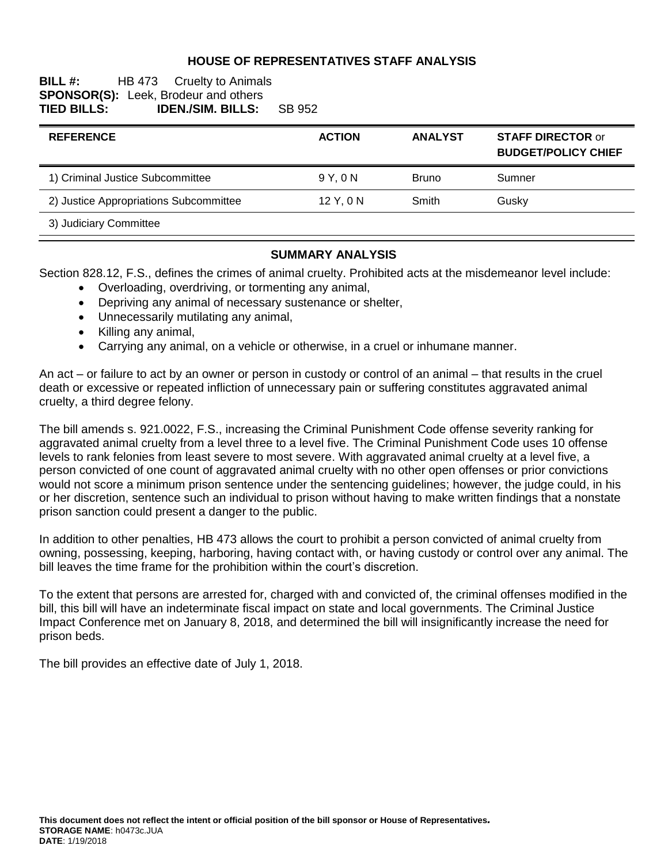#### **HOUSE OF REPRESENTATIVES STAFF ANALYSIS**

#### **BILL #:** HB 473 Cruelty to Animals **SPONSOR(S):** Leek, Brodeur and others<br> **TIED BILLS: IDEN./SIM. BILLS: TIED BILLS: IDEN./SIM. BILLS:** SB 952

| <b>REFERENCE</b>                       | <b>ACTION</b> | <b>ANALYST</b> | <b>STAFF DIRECTOR or</b><br><b>BUDGET/POLICY CHIEF</b> |
|----------------------------------------|---------------|----------------|--------------------------------------------------------|
| 1) Criminal Justice Subcommittee       | 9 Y.ON        | <b>Bruno</b>   | Sumner                                                 |
| 2) Justice Appropriations Subcommittee | 12 Y, 0 N     | Smith          | Gusky                                                  |
| 3) Judiciary Committee                 |               |                |                                                        |

#### **SUMMARY ANALYSIS**

Section 828.12, F.S., defines the crimes of animal cruelty. Prohibited acts at the misdemeanor level include:

- Overloading, overdriving, or tormenting any animal,
- Depriving any animal of necessary sustenance or shelter,
- Unnecessarily mutilating any animal,
- Killing any animal,
- Carrying any animal, on a vehicle or otherwise, in a cruel or inhumane manner.

An act – or failure to act by an owner or person in custody or control of an animal – that results in the cruel death or excessive or repeated infliction of unnecessary pain or suffering constitutes aggravated animal cruelty, a third degree felony.

The bill amends s. 921.0022, F.S., increasing the Criminal Punishment Code offense severity ranking for aggravated animal cruelty from a level three to a level five. The Criminal Punishment Code uses 10 offense levels to rank felonies from least severe to most severe. With aggravated animal cruelty at a level five, a person convicted of one count of aggravated animal cruelty with no other open offenses or prior convictions would not score a minimum prison sentence under the sentencing guidelines; however, the judge could, in his or her discretion, sentence such an individual to prison without having to make written findings that a nonstate prison sanction could present a danger to the public.

In addition to other penalties, HB 473 allows the court to prohibit a person convicted of animal cruelty from owning, possessing, keeping, harboring, having contact with, or having custody or control over any animal. The bill leaves the time frame for the prohibition within the court's discretion.

To the extent that persons are arrested for, charged with and convicted of, the criminal offenses modified in the bill, this bill will have an indeterminate fiscal impact on state and local governments. The Criminal Justice Impact Conference met on January 8, 2018, and determined the bill will insignificantly increase the need for prison beds.

The bill provides an effective date of July 1, 2018.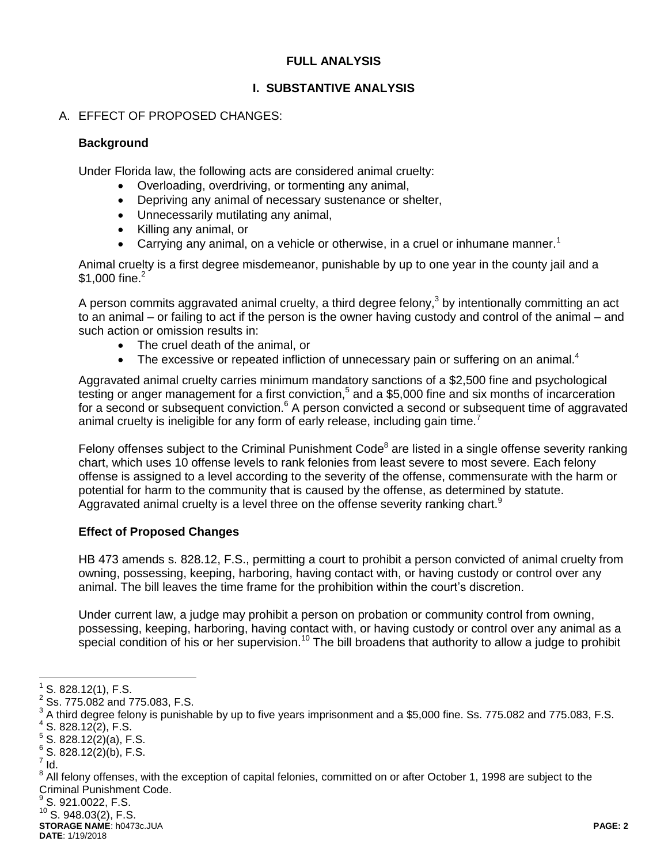#### **FULL ANALYSIS**

## **I. SUBSTANTIVE ANALYSIS**

## A. EFFECT OF PROPOSED CHANGES:

#### **Background**

Under Florida law, the following acts are considered animal cruelty:

- Overloading, overdriving, or tormenting any animal,
- Depriving any animal of necessary sustenance or shelter,
- Unnecessarily mutilating any animal,
- Killing any animal, or
- **Carrying any animal, on a vehicle or otherwise, in a cruel or inhumane manner.**<sup>1</sup>

Animal cruelty is a first degree misdemeanor, punishable by up to one year in the county jail and a \$1,000 fine.<sup>2</sup>

A person commits aggravated animal cruelty, a third degree felony,<sup>3</sup> by intentionally committing an act to an animal – or failing to act if the person is the owner having custody and control of the animal – and such action or omission results in:

- The cruel death of the animal, or
- $\bullet$  The excessive or repeated infliction of unnecessary pain or suffering on an animal.<sup>4</sup>

Aggravated animal cruelty carries minimum mandatory sanctions of a \$2,500 fine and psychological testing or anger management for a first conviction,<sup>5</sup> and a \$5,000 fine and six months of incarceration for a second or subsequent conviction.<sup>6</sup> A person convicted a second or subsequent time of aggravated animal cruelty is ineligible for any form of early release, including gain time.<sup>7</sup>

Felony offenses subject to the Criminal Punishment Code<sup>8</sup> are listed in a single offense severity ranking chart, which uses 10 offense levels to rank felonies from least severe to most severe. Each felony offense is assigned to a level according to the severity of the offense, commensurate with the harm or potential for harm to the community that is caused by the offense, as determined by statute. Aggravated animal cruelty is a level three on the offense severity ranking chart. $9$ 

#### **Effect of Proposed Changes**

HB 473 amends s. 828.12, F.S., permitting a court to prohibit a person convicted of animal cruelty from owning, possessing, keeping, harboring, having contact with, or having custody or control over any animal. The bill leaves the time frame for the prohibition within the court's discretion.

Under current law, a judge may prohibit a person on probation or community control from owning, possessing, keeping, harboring, having contact with, or having custody or control over any animal as a special condition of his or her supervision.<sup>10</sup> The bill broadens that authority to allow a judge to prohibit

 $^9$  S. 921.0022, F.S.

 $10$  S. 948.03(2), F.S.

**STORAGE NAME**: h0473c.JUA **PAGE: 2 DATE**: 1/19/2018

 $\overline{a}$  $1$  S. 828.12(1), F.S.

 $^{2}$  Ss. 775.082 and 775.083, F.S.

 $^3$  A third degree felony is punishable by up to five years imprisonment and a \$5,000 fine. Ss. 775.082 and 775.083, F.S.

 $4$  S. 828.12(2), F.S.

 $5$  S. 828.12(2)(a), F.S.

 $6$  S. 828.12(2)(b), F.S.

 $^7$  Id.

 $^8$  All felony offenses, with the exception of capital felonies, committed on or after October 1, 1998 are subject to the Criminal Punishment Code.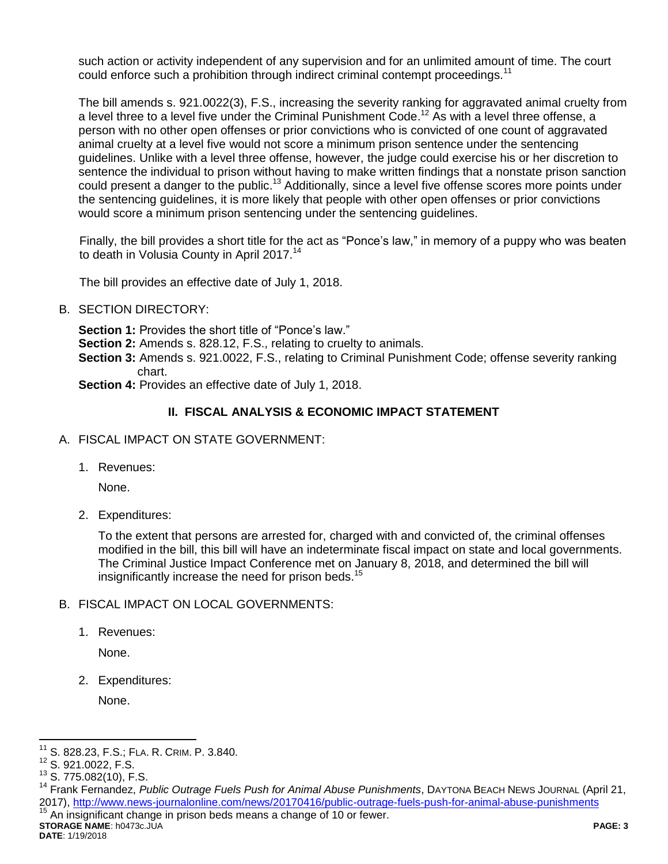such action or activity independent of any supervision and for an unlimited amount of time. The court could enforce such a prohibition through indirect criminal contempt proceedings.<sup>11</sup>

The bill amends s. 921.0022(3), F.S., increasing the severity ranking for aggravated animal cruelty from a level three to a level five under the Criminal Punishment Code.<sup>12</sup> As with a level three offense, a person with no other open offenses or prior convictions who is convicted of one count of aggravated animal cruelty at a level five would not score a minimum prison sentence under the sentencing guidelines. Unlike with a level three offense, however, the judge could exercise his or her discretion to sentence the individual to prison without having to make written findings that a nonstate prison sanction could present a danger to the public.<sup>13</sup> Additionally, since a level five offense scores more points under the sentencing guidelines, it is more likely that people with other open offenses or prior convictions would score a minimum prison sentencing under the sentencing guidelines.

Finally, the bill provides a short title for the act as "Ponce's law," in memory of a puppy who was beaten to death in Volusia County in April 2017.<sup>14</sup>

The bill provides an effective date of July 1, 2018.

B. SECTION DIRECTORY:

**Section 1:** Provides the short title of "Ponce's law."

**Section 2:** Amends s. 828.12, F.S., relating to cruelty to animals.

**Section 3:** Amends s. 921.0022, F.S., relating to Criminal Punishment Code; offense severity ranking chart.

**Section 4: Provides an effective date of July 1, 2018.** 

## **II. FISCAL ANALYSIS & ECONOMIC IMPACT STATEMENT**

- A. FISCAL IMPACT ON STATE GOVERNMENT:
	- 1. Revenues:

None.

2. Expenditures:

To the extent that persons are arrested for, charged with and convicted of, the criminal offenses modified in the bill, this bill will have an indeterminate fiscal impact on state and local governments. The Criminal Justice Impact Conference met on January 8, 2018, and determined the bill will insignificantly increase the need for prison beds.<sup>15</sup>

#### B. FISCAL IMPACT ON LOCAL GOVERNMENTS:

1. Revenues:

None.

2. Expenditures:

None.

**STORAGE NAME**: h0473c.JUA **PAGE: 3 DATE**: 1/19/2018 An insignificant change in prison beds means a change of 10 or fewer.

 $\overline{a}$ <sup>11</sup> S. 828.23, F.S.; FLA. R. CRIM. P. 3.840.

<sup>12</sup> S. 921.0022, F.S.

 $13$  S. 775.082(10), F.S.

<sup>&</sup>lt;sup>14</sup> Frank Fernandez, Public Outrage Fuels Push for Animal Abuse Punishments, DAYTONA BEACH NEWS JOURNAL (April 21, 2017),<http://www.news-journalonline.com/news/20170416/public-outrage-fuels-push-for-animal-abuse-punishments>